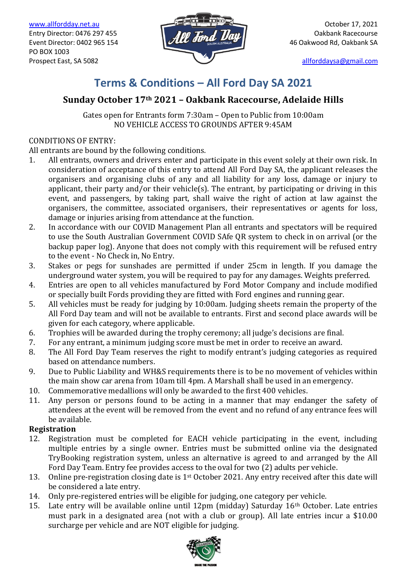



# **Terms & Conditions – All Ford Day SA 2021**

# **Sunday October 17th 2021 – Oakbank Racecourse, Adelaide Hills**

Gates open for Entrants form 7:30am – Open to Public from 10:00am NO VEHICLE ACCESS TO GROUNDS AFTER 9:45AM

## CONDITIONS OF ENTRY:

All entrants are bound by the following conditions.

- 1. All entrants, owners and drivers enter and participate in this event solely at their own risk. In consideration of acceptance of this entry to attend All Ford Day SA, the applicant releases the organisers and organising clubs of any and all liability for any loss, damage or injury to applicant, their party and/or their vehicle(s). The entrant, by participating or driving in this event, and passengers, by taking part, shall waive the right of action at law against the organisers, the committee, associated organisers, their representatives or agents for loss, damage or injuries arising from attendance at the function.
- 2. In accordance with our COVID Management Plan all entrants and spectators will be required to use the South Australian Government COVID SAfe QR system to check in on arrival (or the backup paper log). Anyone that does not comply with this requirement will be refused entry to the event - No Check in, No Entry.
- 3. Stakes or pegs for sunshades are permitted if under 25cm in length. If you damage the underground water system, you will be required to pay for any damages. Weights preferred.
- 4. Entries are open to all vehicles manufactured by Ford Motor Company and include modified or specially built Fords providing they are fitted with Ford engines and running gear.
- 5. All vehicles must be ready for judging by 10:00am. Judging sheets remain the property of the All Ford Day team and will not be available to entrants. First and second place awards will be given for each category, where applicable.
- 6. Trophies will be awarded during the trophy ceremony; all judge's decisions are final.
- 7. For any entrant, a minimum judging score must be met in order to receive an award.
- 8. The All Ford Day Team reserves the right to modify entrant's judging categories as required based on attendance numbers.
- 9. Due to Public Liability and WH&S requirements there is to be no movement of vehicles within the main show car arena from 10am till 4pm. A Marshall shall be used in an emergency.
- 10. Commemorative medallions will only be awarded to the first 400 vehicles.
- 11. Any person or persons found to be acting in a manner that may endanger the safety of attendees at the event will be removed from the event and no refund of any entrance fees will be available.

## **Registration**

- 12. Registration must be completed for EACH vehicle participating in the event, including multiple entries by a single owner. Entries must be submitted online via the designated TryBooking registration system, unless an alternative is agreed to and arranged by the All Ford Day Team. Entry fee provides access to the oval for two (2) adults per vehicle.
- 13. Online pre-registration closing date is  $1<sup>st</sup>$  October 2021. Any entry received after this date will be considered a late entry.
- 14. Only pre-registered entries will be eligible for judging, one category per vehicle.
- 15. Late entry will be available online until  $12\text{pm}$  (midday) Saturday  $16\text{th}$  October. Late entries must park in a designated area (not with a club or group). All late entries incur a \$10.00 surcharge per vehicle and are NOT eligible for judging.